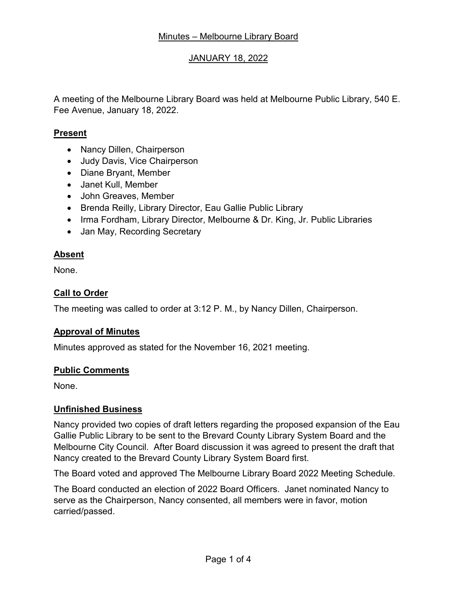# JANUARY 18, 2022

A meeting of the Melbourne Library Board was held at Melbourne Public Library, 540 E. Fee Avenue, January 18, 2022.

## **Present**

- Nancy Dillen, Chairperson
- Judy Davis, Vice Chairperson
- Diane Bryant, Member
- Janet Kull, Member
- John Greaves, Member
- Brenda Reilly, Library Director, Eau Gallie Public Library
- Irma Fordham, Library Director, Melbourne & Dr. King, Jr. Public Libraries
- Jan May, Recording Secretary

# **Absent**

None.

# **Call to Order**

The meeting was called to order at 3:12 P. M., by Nancy Dillen, Chairperson.

#### **Approval of Minutes**

Minutes approved as stated for the November 16, 2021 meeting.

#### **Public Comments**

None.

#### **Unfinished Business**

Nancy provided two copies of draft letters regarding the proposed expansion of the Eau Gallie Public Library to be sent to the Brevard County Library System Board and the Melbourne City Council. After Board discussion it was agreed to present the draft that Nancy created to the Brevard County Library System Board first.

The Board voted and approved The Melbourne Library Board 2022 Meeting Schedule.

The Board conducted an election of 2022 Board Officers. Janet nominated Nancy to serve as the Chairperson, Nancy consented, all members were in favor, motion carried/passed.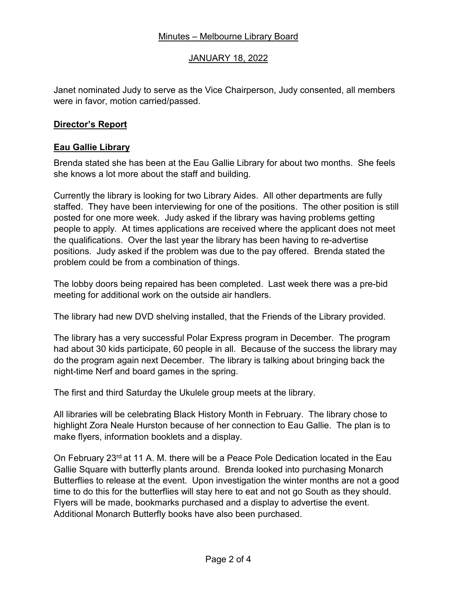# Minutes – Melbourne Library Board

# JANUARY 18, 2022

Janet nominated Judy to serve as the Vice Chairperson, Judy consented, all members were in favor, motion carried/passed.

## **Director's Report**

#### **Eau Gallie Library**

Brenda stated she has been at the Eau Gallie Library for about two months. She feels she knows a lot more about the staff and building.

Currently the library is looking for two Library Aides. All other departments are fully staffed. They have been interviewing for one of the positions. The other position is still posted for one more week. Judy asked if the library was having problems getting people to apply. At times applications are received where the applicant does not meet the qualifications. Over the last year the library has been having to re-advertise positions. Judy asked if the problem was due to the pay offered. Brenda stated the problem could be from a combination of things.

The lobby doors being repaired has been completed. Last week there was a pre-bid meeting for additional work on the outside air handlers.

The library had new DVD shelving installed, that the Friends of the Library provided.

The library has a very successful Polar Express program in December. The program had about 30 kids participate, 60 people in all. Because of the success the library may do the program again next December. The library is talking about bringing back the night-time Nerf and board games in the spring.

The first and third Saturday the Ukulele group meets at the library.

All libraries will be celebrating Black History Month in February. The library chose to highlight Zora Neale Hurston because of her connection to Eau Gallie. The plan is to make flyers, information booklets and a display.

On February 23<sup>rd</sup> at 11 A. M. there will be a Peace Pole Dedication located in the Eau Gallie Square with butterfly plants around. Brenda looked into purchasing Monarch Butterflies to release at the event. Upon investigation the winter months are not a good time to do this for the butterflies will stay here to eat and not go South as they should. Flyers will be made, bookmarks purchased and a display to advertise the event. Additional Monarch Butterfly books have also been purchased.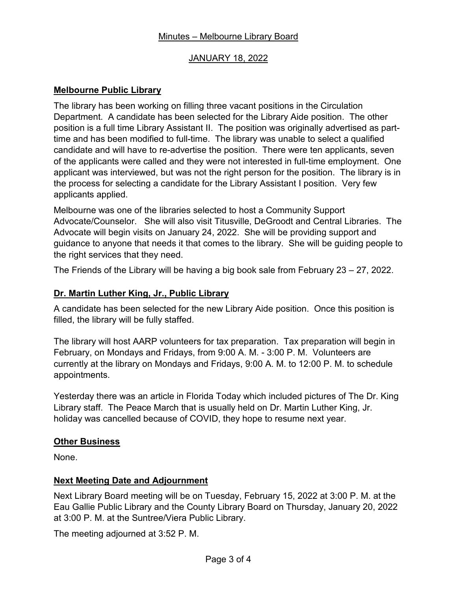# JANUARY 18, 2022

# **Melbourne Public Library**

The library has been working on filling three vacant positions in the Circulation Department. A candidate has been selected for the Library Aide position. The other position is a full time Library Assistant II. The position was originally advertised as parttime and has been modified to full-time. The library was unable to select a qualified candidate and will have to re-advertise the position. There were ten applicants, seven of the applicants were called and they were not interested in full-time employment. One applicant was interviewed, but was not the right person for the position. The library is in the process for selecting a candidate for the Library Assistant I position. Very few applicants applied.

Melbourne was one of the libraries selected to host a Community Support Advocate/Counselor. She will also visit Titusville, DeGroodt and Central Libraries. The Advocate will begin visits on January 24, 2022. She will be providing support and guidance to anyone that needs it that comes to the library. She will be guiding people to the right services that they need.

The Friends of the Library will be having a big book sale from February 23 – 27, 2022.

# **Dr. Martin Luther King, Jr., Public Library**

A candidate has been selected for the new Library Aide position. Once this position is filled, the library will be fully staffed.

The library will host AARP volunteers for tax preparation. Tax preparation will begin in February, on Mondays and Fridays, from 9:00 A. M. - 3:00 P. M. Volunteers are currently at the library on Mondays and Fridays, 9:00 A. M. to 12:00 P. M. to schedule appointments.

Yesterday there was an article in Florida Today which included pictures of The Dr. King Library staff. The Peace March that is usually held on Dr. Martin Luther King, Jr. holiday was cancelled because of COVID, they hope to resume next year.

#### **Other Business**

None.

#### **Next Meeting Date and Adjournment**

Next Library Board meeting will be on Tuesday, February 15, 2022 at 3:00 P. M. at the Eau Gallie Public Library and the County Library Board on Thursday, January 20, 2022 at 3:00 P. M. at the Suntree/Viera Public Library.

The meeting adjourned at 3:52 P. M.